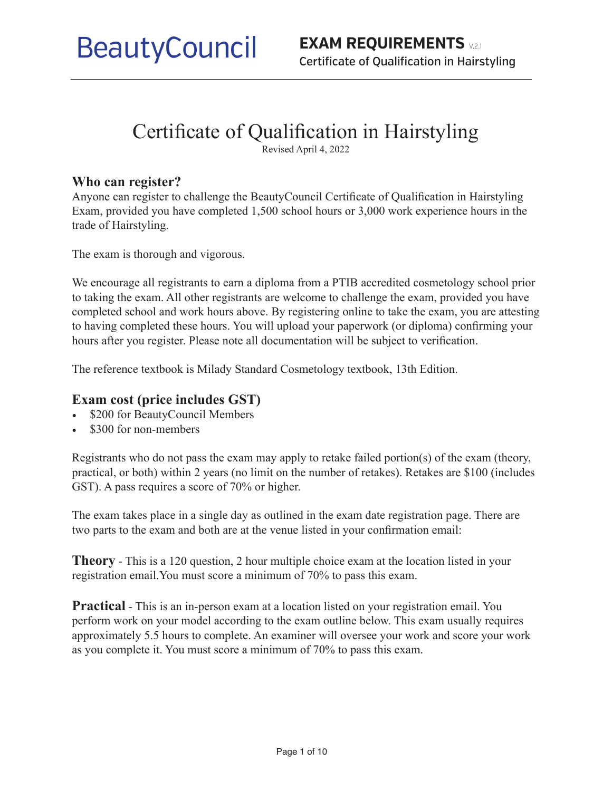# Certificate of Qualification in Hairstyling

Revised April 4, 2022

#### **Who can register?**

Anyone can register to challenge the BeautyCouncil Certificate of Qualification in Hairstyling Exam, provided you have completed 1,500 school hours or 3,000 work experience hours in the trade of Hairstyling.

The exam is thorough and vigorous.

We encourage all registrants to earn a diploma from a PTIB accredited cosmetology school prior to taking the exam. All other registrants are welcome to challenge the exam, provided you have completed school and work hours above. By registering online to take the exam, you are attesting to having completed these hours. You will upload your paperwork (or diploma) confirming your hours after you register. Please note all documentation will be subject to verification.

The reference textbook is Milady Standard Cosmetology textbook, 13th Edition.

#### **Exam cost (price includes GST)**

- \$200 for BeautyCouncil Members
- \$300 for non-members

Registrants who do not pass the exam may apply to retake failed portion(s) of the exam (theory, practical, or both) within 2 years (no limit on the number of retakes). Retakes are \$100 (includes GST). A pass requires a score of 70% or higher.

The exam takes place in a single day as outlined in the exam date registration page. There are two parts to the exam and both are at the venue listed in your confirmation email:

**Theory** - This is a 120 question, 2 hour multiple choice exam at the location listed in your registration email.You must score a minimum of 70% to pass this exam.

**Practical** - This is an in-person exam at a location listed on your registration email. You perform work on your model according to the exam outline below. This exam usually requires approximately 5.5 hours to complete. An examiner will oversee your work and score your work as you complete it. You must score a minimum of 70% to pass this exam.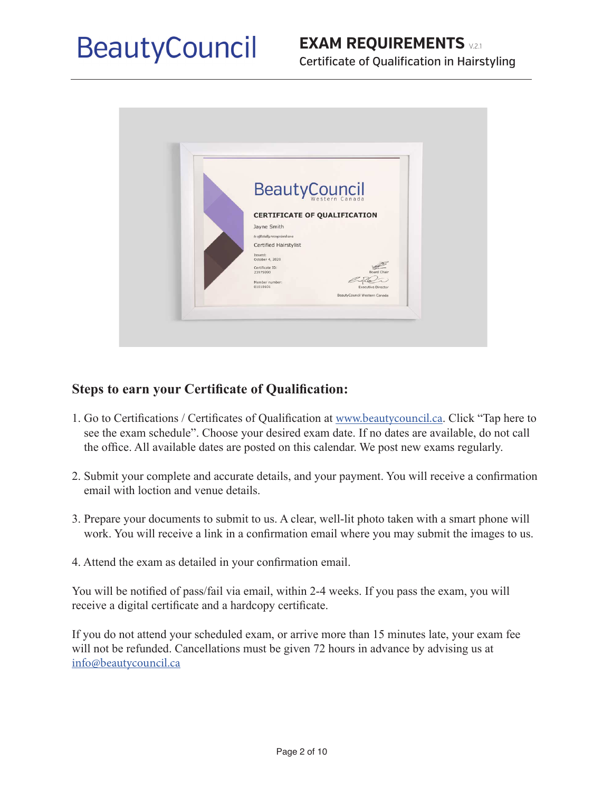# **EXAM REQUIREMENTS** V.2.1 Certificate of Qualification in Hairstyling



## **Steps to earn your Certificate of Qualification:**

- 1. Go to Certifications / Certificates of Qualification at www.beautycouncil.ca. Click "Tap here to see the exam schedule". Choose your desired exam date. If no dates are available, do not call the office. All available dates are posted on this calendar. We post new exams regularly.
- 2. Submit your complete and accurate details, and your payment. You will receive a confirmation email with loction and venue details.
- 3. Prepare your documents to submit to us. A clear, well-lit photo taken with a smart phone will work. You will receive a link in a confirmation email where you may submit the images to us.
- 4. Attend the exam as detailed in your confirmation email.

You will be notified of pass/fail via email, within 2-4 weeks. If you pass the exam, you will receive a digital certificate and a hardcopy certificate.

If you do not attend your scheduled exam, or arrive more than 15 minutes late, your exam fee will not be refunded. Cancellations must be given 72 hours in advance by advising us at info@beautycouncil.ca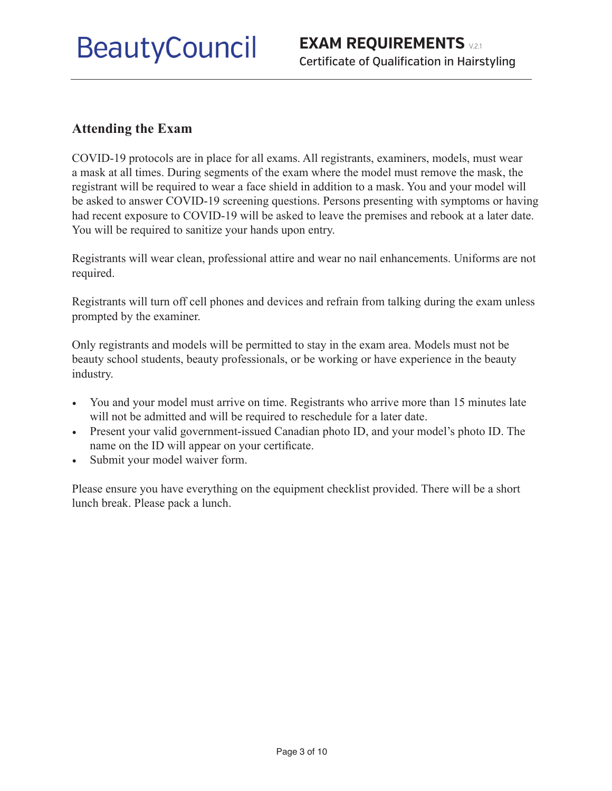#### **Attending the Exam**

COVID-19 protocols are in place for all exams. All registrants, examiners, models, must wear a mask at all times. During segments of the exam where the model must remove the mask, the registrant will be required to wear a face shield in addition to a mask. You and your model will be asked to answer COVID-19 screening questions. Persons presenting with symptoms or having had recent exposure to COVID-19 will be asked to leave the premises and rebook at a later date. You will be required to sanitize your hands upon entry.

Registrants will wear clean, professional attire and wear no nail enhancements. Uniforms are not required.

Registrants will turn off cell phones and devices and refrain from talking during the exam unless prompted by the examiner.

Only registrants and models will be permitted to stay in the exam area. Models must not be beauty school students, beauty professionals, or be working or have experience in the beauty industry.

- You and your model must arrive on time. Registrants who arrive more than 15 minutes late will not be admitted and will be required to reschedule for a later date.
- Present your valid government-issued Canadian photo ID, and your model's photo ID. The name on the ID will appear on your certificate.
- Submit your model waiver form.

Please ensure you have everything on the equipment checklist provided. There will be a short lunch break. Please pack a lunch.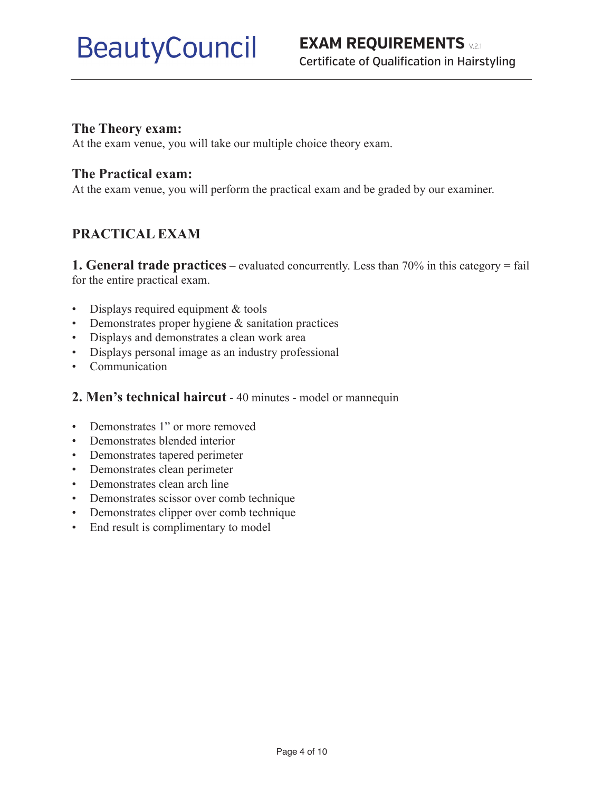#### **The Theory exam:**

At the exam venue, you will take our multiple choice theory exam.

### **The Practical exam:**

At the exam venue, you will perform the practical exam and be graded by our examiner.

# **PRACTICAL EXAM**

**1. General trade practices** – evaluated concurrently. Less than 70% in this category = fail for the entire practical exam.

- Displays required equipment & tools
- Demonstrates proper hygiene & sanitation practices
- Displays and demonstrates a clean work area
- Displays personal image as an industry professional
- Communication
- **2. Men's technical haircut** 40 minutes model or mannequin
- Demonstrates 1" or more removed
- Demonstrates blended interior
- Demonstrates tapered perimeter
- Demonstrates clean perimeter
- Demonstrates clean arch line
- Demonstrates scissor over comb technique
- Demonstrates clipper over comb technique
- End result is complimentary to model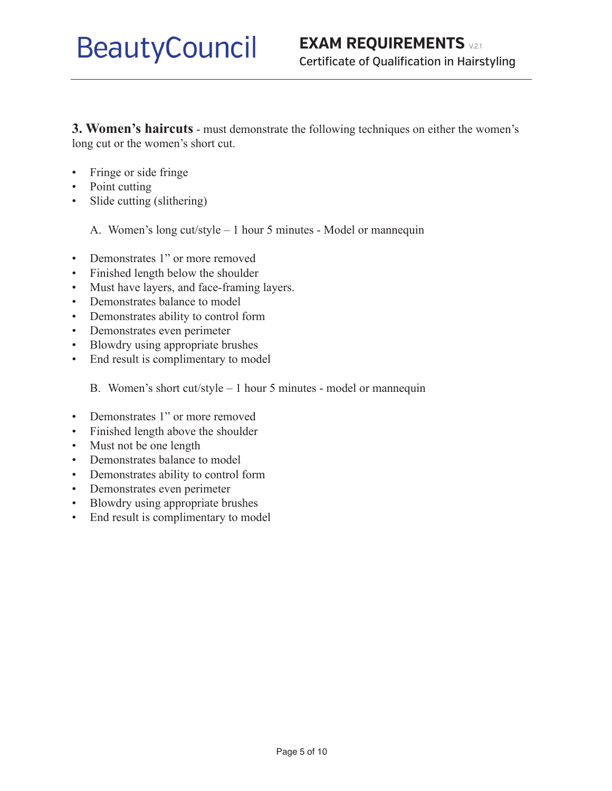**3. Women's haircuts** - must demonstrate the following techniques on either the women's long cut or the women's short cut.

- Fringe or side fringe
- Point cutting
- Slide cutting (slithering)
	- A. Women's long cut/style 1 hour 5 minutes Model or mannequin
- Demonstrates 1" or more removed
- Finished length below the shoulder
- Must have layers, and face-framing layers.
- Demonstrates balance to model
- Demonstrates ability to control form
- Demonstrates even perimeter
- Blowdry using appropriate brushes
- End result is complimentary to model

B. Women's short cut/style – 1 hour 5 minutes - model or mannequin

- Demonstrates 1" or more removed
- Finished length above the shoulder
- Must not be one length
- Demonstrates balance to model
- Demonstrates ability to control form
- Demonstrates even perimeter
- Blowdry using appropriate brushes
- End result is complimentary to model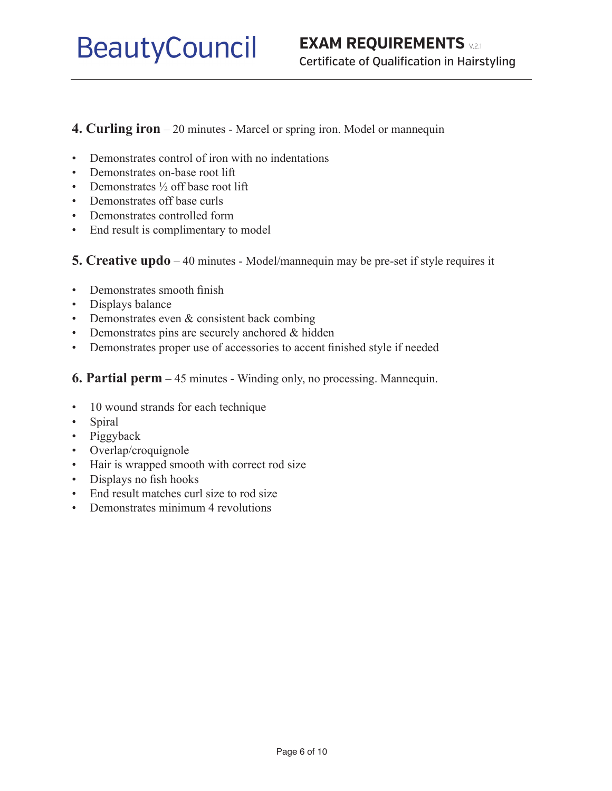### **4. Curling iron** – 20 minutes - Marcel or spring iron. Model or mannequin

- Demonstrates control of iron with no indentations
- Demonstrates on-base root lift
- Demonstrates  $\frac{1}{2}$  off base root lift
- Demonstrates off base curls
- Demonstrates controlled form
- End result is complimentary to model

**5. Creative updo** – 40 minutes - Model/mannequin may be pre-set if style requires it

- Demonstrates smooth finish
- Displays balance
- Demonstrates even & consistent back combing
- Demonstrates pins are securely anchored & hidden
- Demonstrates proper use of accessories to accent finished style if needed
- **6. Partial perm** 45 minutes Winding only, no processing. Mannequin.
- 10 wound strands for each technique
- Spiral
- Piggyback
- Overlap/croquignole
- Hair is wrapped smooth with correct rod size
- Displays no fish hooks
- End result matches curl size to rod size
- Demonstrates minimum 4 revolutions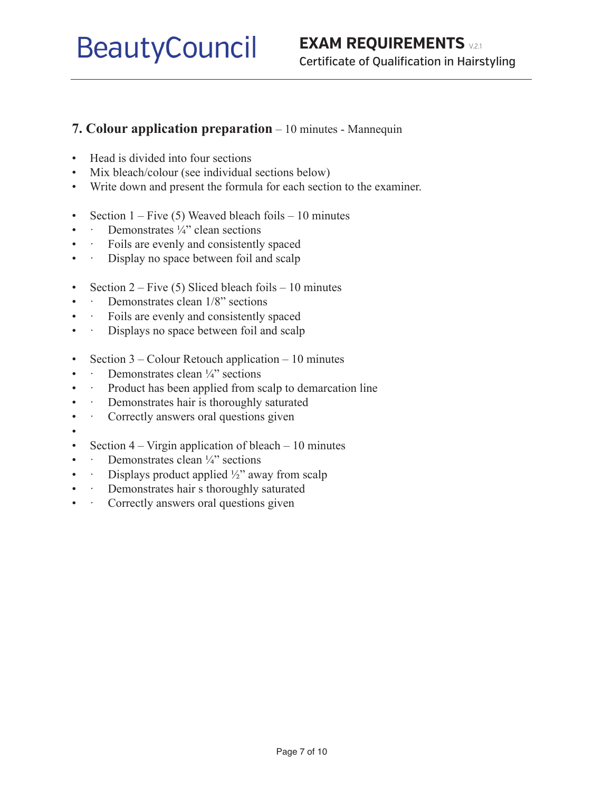### **7. Colour application preparation** – 10 minutes - Mannequin

- Head is divided into four sections
- Mix bleach/colour (see individual sections below)
- Write down and present the formula for each section to the examiner.
- Section  $1 Five (5) Weaved bleach foils 10 minutes$
- $\cdot$  Demonstrates  $\frac{1}{4}$  clean sections
- • Foils are evenly and consistently spaced
- · Display no space between foil and scalp
- Section  $2 -$  Five (5) Sliced bleach foils  $-10$  minutes
- · Demonstrates clean 1/8" sections
- Foils are evenly and consistently spaced
- · Displays no space between foil and scalp
- Section 3 Colour Retouch application 10 minutes
- $\cdot$  Demonstrates clean  $\frac{1}{4}$  sections
- · Product has been applied from scalp to demarcation line
- **Demonstrates hair is thoroughly saturated**
- Correctly answers oral questions given
- •
- Section  $4 \text{Virgin application of bleach} 10 minutes$
- **•** Demonstrates clean  $\frac{1}{4}$  sections
- Displays product applied  $\frac{1}{2}$ " away from scalp
- · Demonstrates hair s thoroughly saturated
- Correctly answers oral questions given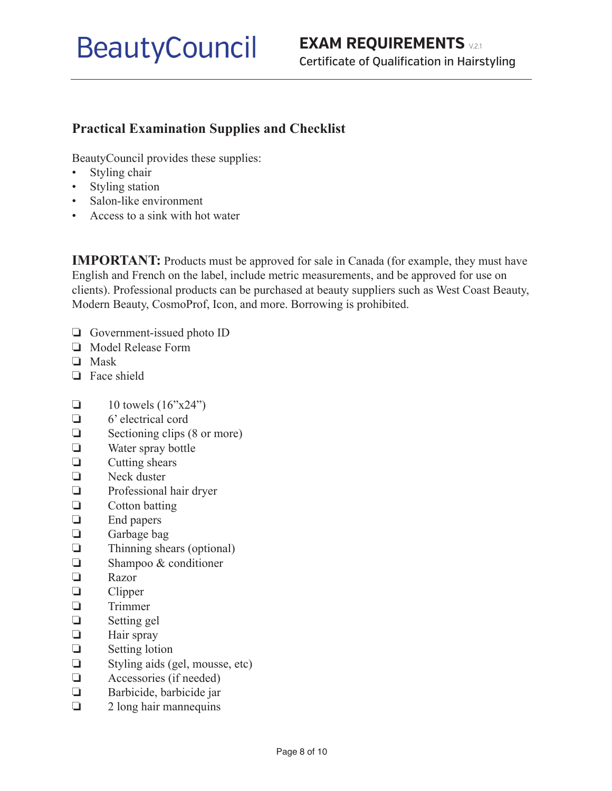# **Practical Examination Supplies and Checklist**

BeautyCouncil provides these supplies:

- Styling chair
- Styling station
- Salon-like environment
- Access to a sink with hot water

**IMPORTANT:** Products must be approved for sale in Canada (for example, they must have English and French on the label, include metric measurements, and be approved for use on clients). Professional products can be purchased at beauty suppliers such as West Coast Beauty, Modern Beauty, CosmoProf, Icon, and more. Borrowing is prohibited.

- ❏ Government-issued photo ID
- ❏ Model Release Form
- ❏ Mask
- ❏ Face shield
- $\Box$  10 towels (16"x24")
- ❏ 6' electrical cord
- ❏ Sectioning clips (8 or more)
- ❏ Water spray bottle
- ❏ Cutting shears
- ❏ Neck duster
- ❏ Professional hair dryer
- ❏ Cotton batting
- ❏ End papers
- ❏ Garbage bag
- ❏ Thinning shears (optional)
- ❏ Shampoo & conditioner
- ❏ Razor
- ❏ Clipper
- ❏ Trimmer
- ❏ Setting gel
- ❏ Hair spray
- ❏ Setting lotion
- ❏ Styling aids (gel, mousse, etc)
- ❏ Accessories (if needed)
- ❏ Barbicide, barbicide jar
- ❏ 2 long hair mannequins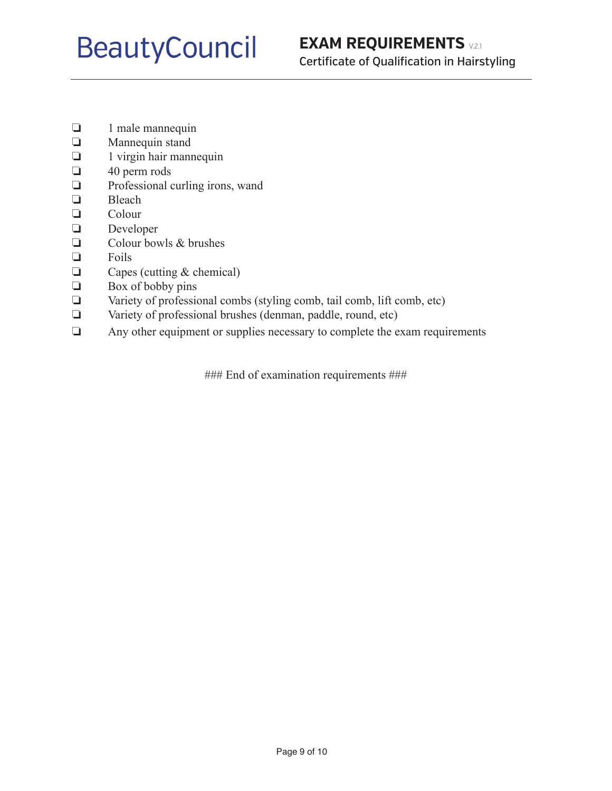- ❏ 1 male mannequin
- ❏ Mannequin stand
- ❏ 1 virgin hair mannequin
- ❏ 40 perm rods
- ❏ Professional curling irons, wand
- ❏ Bleach
- ❏ Colour
- ❏ Developer
- ❏ Colour bowls & brushes
- ❏ Foils
- ❏ Capes (cutting & chemical)
- ❏ Box of bobby pins
- ❏ Variety of professional combs (styling comb, tail comb, lift comb, etc)
- ❏ Variety of professional brushes (denman, paddle, round, etc)
- ❏ Any other equipment or supplies necessary to complete the exam requirements

### End of examination requirements ###